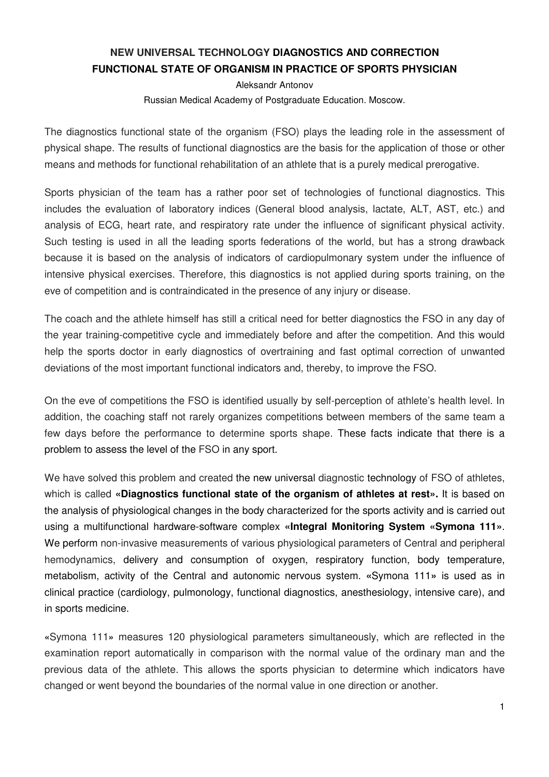## **NEW UNIVERSAL TECHNOLOGY DIAGNOSTICS AND CORRECTION FUNCTIONAL STATE OF ORGANISM IN PRACTICE OF SPORTS PHYSICIAN**

Aleksandr Antonov

Russian Medical Academy of Postgraduate Education. Moscow.

The diagnostics functional state of the organism (FSO) plays the leading role in the assessment of physical shape. The results of functional diagnostics are the basis for the application of those or other means and methods for functional rehabilitation of an athlete that is a purely medical prerogative.

Sports physician of the team has a rather poor set of technologies of functional diagnostics. This includes the evaluation of laboratory indices (General blood analysis, lactate, ALT, AST, etc.) and analysis of ECG, heart rate, and respiratory rate under the influence of significant physical activity. Such testing is used in all the leading sports federations of the world, but has a strong drawback because it is based on the analysis of indicators of cardiopulmonary system under the influence of intensive physical exercises. Therefore, this diagnostics is not applied during sports training, on the eve of competition and is contraindicated in the presence of any injury or disease.

The coach and the athlete himself has still a critical need for better diagnostics the FSO in any day of the year training-competitive cycle and immediately before and after the competition. And this would help the sports doctor in early diagnostics of overtraining and fast optimal correction of unwanted deviations of the most important functional indicators and, thereby, to improve the FSO.

On the eve of competitions the FSO is identified usually by self-perception of athlete's health level. In addition, the coaching staff not rarely organizes competitions between members of the same team a few days before the performance to determine sports shape. These facts indicate that there is a problem to assess the level of the FSO in any sport.

We have solved this problem and created the new universal diagnostic technology of FSO of athletes, which is called **«Diagnostics functional state of the organism of athletes at rest».** It is based on the analysis of physiological changes in the body characterized for the sports activity and is carried out using a multifunctional hardware-software complex **«Integral Monitoring System «Symona 111»**. We perform non-invasive measurements of various physiological parameters of Central and peripheral hemodynamics, delivery and consumption of oxygen, respiratory function, body temperature, metabolism, activity of the Central and autonomic nervous system. **«**Symona 111**»** is used as in clinical practice (cardiology, pulmonology, functional diagnostics, anesthesiology, intensive care), and in sports medicine.

**«**Symona 111**»** measures 120 physiological parameters simultaneously, which are reflected in the examination report automatically in comparison with the normal value of the ordinary man and the previous data of the athlete. This allows the sports physician to determine which indicators have changed or went beyond the boundaries of the normal value in one direction or another.